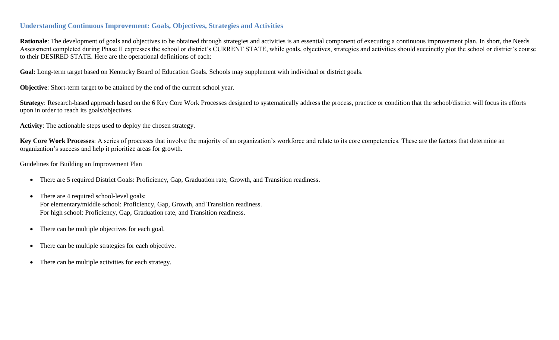## **Understanding Continuous Improvement: Goals, Objectives, Strategies and Activities**

Rationale: The development of goals and objectives to be obtained through strategies and activities is an essential component of executing a continuous improvement plan. In short, the Needs Assessment completed during Phase II expresses the school or district's CURRENT STATE, while goals, objectives, strategies and activities should succinctly plot the school or district's course to their DESIRED STATE. Here are the operational definitions of each:

**Goal**: Long-term target based on Kentucky Board of Education Goals. Schools may supplement with individual or district goals.

**Objective**: Short-term target to be attained by the end of the current school year.

**Strategy**: Research-based approach based on the 6 Key Core Work Processes designed to systematically address the process, practice or condition that the school/district will focus its efforts upon in order to reach its goals/objectives.

**Activity**: The actionable steps used to deploy the chosen strategy.

**Key Core Work Processes**: A series of processes that involve the majority of an organization's workforce and relate to its core competencies. These are the factors that determine an organization's success and help it prioritize areas for growth.

## Guidelines for Building an Improvement Plan

- There are 5 required District Goals: Proficiency, Gap, Graduation rate, Growth, and Transition readiness.
- There are 4 required school-level goals: For elementary/middle school: Proficiency, Gap, Growth, and Transition readiness. For high school: Proficiency, Gap, Graduation rate, and Transition readiness.
- There can be multiple objectives for each goal.
- There can be multiple strategies for each objective.
- There can be multiple activities for each strategy.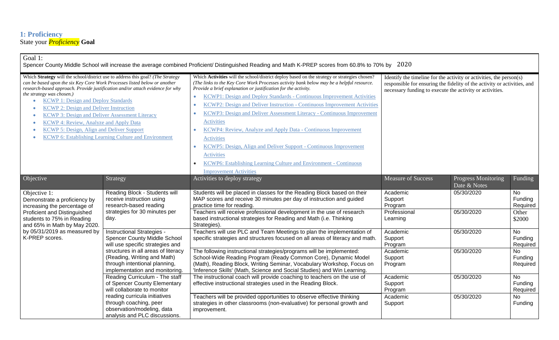## **1: Proficiency** State your *Proficiency* **Goal**

| Goal 1:<br>Spencer County Middle School will increase the average combined Proficient/ Distinguished Reading and Math K-PREP scores from 60.8% to 70% by 2020                                                                                                                                                                                                                                                                                                                                                                                                                                    |                                                                                                                                                                                                                                                |                                                                                                                                                                                                                                                                                                                                                                                                                                                                                                                                                                                                                                                                                                                                                                                                               |                                                                                                                                                                                                             |                                            |                                                        |  |  |
|--------------------------------------------------------------------------------------------------------------------------------------------------------------------------------------------------------------------------------------------------------------------------------------------------------------------------------------------------------------------------------------------------------------------------------------------------------------------------------------------------------------------------------------------------------------------------------------------------|------------------------------------------------------------------------------------------------------------------------------------------------------------------------------------------------------------------------------------------------|---------------------------------------------------------------------------------------------------------------------------------------------------------------------------------------------------------------------------------------------------------------------------------------------------------------------------------------------------------------------------------------------------------------------------------------------------------------------------------------------------------------------------------------------------------------------------------------------------------------------------------------------------------------------------------------------------------------------------------------------------------------------------------------------------------------|-------------------------------------------------------------------------------------------------------------------------------------------------------------------------------------------------------------|--------------------------------------------|--------------------------------------------------------|--|--|
| Which Strategy will the school/district use to address this goal? (The Strategy<br>can be based upon the six Key Core Work Processes listed below or another<br>research-based approach. Provide justification and/or attach evidence for why<br>the strategy was chosen.)<br><b>KCWP 1: Design and Deploy Standards</b><br><b>KCWP 2: Design and Deliver Instruction</b><br><b>KCWP 3: Design and Deliver Assessment Literacy</b><br><b>KCWP 4: Review, Analyze and Apply Data</b><br>KCWP 5: Design, Align and Deliver Support<br><b>KCWP 6: Establishing Learning Culture and Environment</b> |                                                                                                                                                                                                                                                | Which Activities will the school/district deploy based on the strategy or strategies chosen?<br>(The links to the Key Core Work Processes activity bank below may be a helpful resource.<br>Provide a brief explanation or justification for the activity.<br>KCWP1: Design and Deploy Standards - Continuous Improvement Activities<br>$\bullet$<br>KCWP2: Design and Deliver Instruction - Continuous Improvement Activities<br>KCWP3: Design and Deliver Assessment Literacy - Continuous Improvement<br><b>Activities</b><br>KCWP4: Review, Analyze and Apply Data - Continuous Improvement<br>Activities<br>KCWP5: Design, Align and Deliver Support - Continuous Improvement<br><b>Activities</b><br>KCWP6: Establishing Learning Culture and Environment - Continuous<br><b>Improvement Activities</b> | Identify the timeline for the activity or activities, the person(s)<br>responsible for ensuring the fidelity of the activity or activities, and<br>necessary funding to execute the activity or activities. |                                            |                                                        |  |  |
| O <sub>b</sub> jective <sub>c</sub>                                                                                                                                                                                                                                                                                                                                                                                                                                                                                                                                                              | Strategy                                                                                                                                                                                                                                       | Activities to deploy strategy                                                                                                                                                                                                                                                                                                                                                                                                                                                                                                                                                                                                                                                                                                                                                                                 | <b>Measure of Success</b>                                                                                                                                                                                   | <b>Progress Monitoring</b><br>Date & Notes | Funding                                                |  |  |
| Objective 1:<br>Demonstrate a proficiency by<br>increasing the percentage of<br>Proficient and Distinguished<br>students to 75% in Reading<br>and 65% in Math by May 2020.<br>by 05/31/2019 as measured by<br>K-PREP scores.                                                                                                                                                                                                                                                                                                                                                                     | Reading Block - Students will<br>receive instruction using<br>research-based reading<br>strategies for 30 minutes per<br>day.                                                                                                                  | Students will be placed in classes for the Reading Block based on their<br>MAP scores and receive 30 minutes per day of instruction and guided<br>practice time for reading.<br>Teachers will receive professional development in the use of research<br>based instructional strategies for Reading and Math (i.e. Thinking<br>Strategies).                                                                                                                                                                                                                                                                                                                                                                                                                                                                   | Academic<br>Support<br>Program<br>Professional<br>Learning                                                                                                                                                  | 05/30/2020<br>05/30/2020                   | <b>No</b><br>Funding<br>Required<br>Other<br>\$2000    |  |  |
|                                                                                                                                                                                                                                                                                                                                                                                                                                                                                                                                                                                                  | Instructional Strategies -<br><b>Spencer County Middle School</b><br>will use specific strategies and<br>structures in all areas of literacy<br>(Reading, Writing and Math)<br>through intentional planning,<br>implementation and monitoring. | Teachers will use PLC and Team Meetings to plan the implementation of<br>specific strategies and structures focused on all areas of literacy and math.<br>The following instructional strategies/programs will be implemented:<br>School-Wide Reading Program (Ready Common Core), Dynamic Model<br>(Math), Reading Block, Writing Seminar, Vocabulary Workshop, Focus on<br>'Inference Skills' (Math, Science and Social Studies) and Win Learning.                                                                                                                                                                                                                                                                                                                                                          | Academic<br>Support<br>Program<br>Academic<br>Support<br>Program                                                                                                                                            | 05/30/2020<br>05/30/2020                   | No<br>Funding<br>Required<br>No<br>Funding<br>Required |  |  |
|                                                                                                                                                                                                                                                                                                                                                                                                                                                                                                                                                                                                  | Reading Curriculum - The staff<br>of Spencer County Elementary<br>will collaborate to monitor<br>reading curricula initiatives<br>through coaching, peer<br>observation/modeling, data<br>analysis and PLC discussions.                        | The instructional coach will provide coaching to teachers on the use of<br>effective instructional strategies used in the Reading Block.<br>Teachers will be provided opportunities to observe effective thinking<br>strategies in other classrooms (non-evaluative) for personal growth and<br>improvement.                                                                                                                                                                                                                                                                                                                                                                                                                                                                                                  | Academic<br>Support<br>Program<br>Academic<br>Support                                                                                                                                                       | 05/30/2020<br>05/30/2020                   | No<br>Funding<br>Required<br>No<br>Funding             |  |  |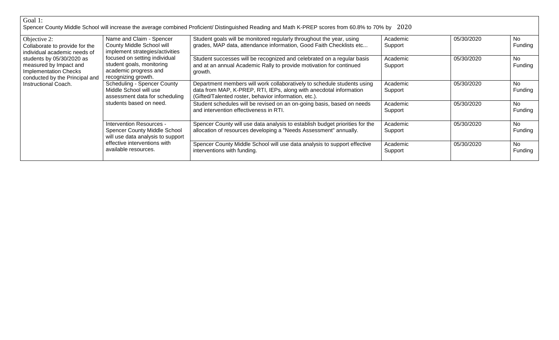| Goal 1:                                                                                                                                                                                                                         |                                                                                                                                                                                                        |                                                                                                                                                                                                        |                     |            |                |
|---------------------------------------------------------------------------------------------------------------------------------------------------------------------------------------------------------------------------------|--------------------------------------------------------------------------------------------------------------------------------------------------------------------------------------------------------|--------------------------------------------------------------------------------------------------------------------------------------------------------------------------------------------------------|---------------------|------------|----------------|
|                                                                                                                                                                                                                                 |                                                                                                                                                                                                        | Spencer County Middle School will increase the average combined Proficient/ Distinguished Reading and Math K-PREP scores from 60.8% to 70% by 2020                                                     |                     |            |                |
| Objective 2:<br>Collaborate to provide for the<br>individual academic needs of<br>students by 05/30/2020 as<br>measured by Impact and<br><b>Implementation Checks</b><br>conducted by the Principal and<br>Instructional Coach. | Name and Claim - Spencer<br>County Middle School will<br>implement strategies/activities<br>focused on setting individual<br>student goals, monitoring<br>academic progress and<br>recognizing growth. | Student goals will be monitored regularly throughout the year, using<br>grades, MAP data, attendance information, Good Faith Checklists etc                                                            | Academic<br>Support | 05/30/2020 | No.<br>Funding |
|                                                                                                                                                                                                                                 |                                                                                                                                                                                                        | Student successes will be recognized and celebrated on a regular basis<br>and at an annual Academic Rally to provide motivation for continued<br>growth.                                               | Academic<br>Support | 05/30/2020 | No<br>Funding  |
|                                                                                                                                                                                                                                 | Scheduling - Spencer County<br>Middle School will use<br>assessment data for scheduling<br>students based on need.                                                                                     | Department members will work collaboratively to schedule students using<br>data from MAP, K-PREP, RTI, IEPs, along with anecdotal information<br>(Gifted/Talented roster, behavior information, etc.). | Academic<br>Support | 05/30/2020 | No<br>Funding  |
|                                                                                                                                                                                                                                 |                                                                                                                                                                                                        | Student schedules will be revised on an on-going basis, based on needs<br>and intervention effectiveness in RTI.                                                                                       | Academic<br>Support | 05/30/2020 | No.<br>Funding |
|                                                                                                                                                                                                                                 | Intervention Resources -<br><b>Spencer County Middle School</b><br>will use data analysis to support<br>effective interventions with<br>available resources.                                           | Spencer County will use data analysis to establish budget priorities for the<br>allocation of resources developing a "Needs Assessment" annually.                                                      | Academic<br>Support | 05/30/2020 | No.<br>Funding |
|                                                                                                                                                                                                                                 |                                                                                                                                                                                                        | Spencer County Middle School will use data analysis to support effective<br>interventions with funding.                                                                                                | Academic<br>Support | 05/30/2020 | No.<br>Funding |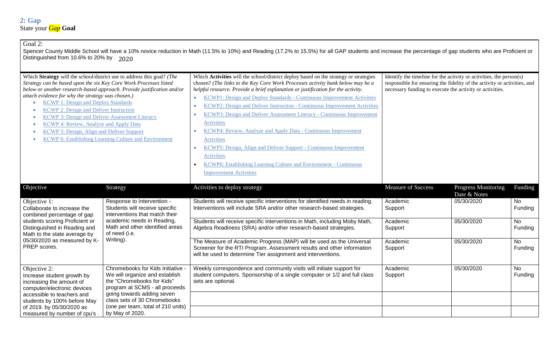## Goal 2:

Spencer County Middle School will have a 10% novice reduction in Math (11.5% to 10%) and Reading (17.2% to 15.5%) for all GAP students and increase the percentage of gap students who are Proficient or Distinguished from 10.6% to 20% by  $\approx 2020$ 

| Which Strategy will the school/district use to address this goal? (The<br>Strategy can be based upon the six Key Core Work Processes listed<br>below or another research-based approach. Provide justification and/or<br>attach evidence for why the strategy was chosen.)<br><b>KCWP 1: Design and Deploy Standards</b><br><b>KCWP 2: Design and Deliver Instruction</b><br><b>KCWP 3: Design and Deliver Assessment Literacy</b><br><b>KCWP 4: Review, Analyze and Apply Data</b><br>KCWP 5: Design, Align and Deliver Support<br><b>KCWP 6: Establishing Learning Culture and Environment</b> |                                                                                                                                                                                                                                       | Which Activities will the school/district deploy based on the strategy or strategies<br>chosen? (The links to the Key Core Work Processes activity bank below may be a<br>helpful resource. Provide a brief explanation or justification for the activity.<br>KCWP1: Design and Deploy Standards - Continuous Improvement Activities<br>$\bullet$<br>KCWP2: Design and Deliver Instruction - Continuous Improvement Activities<br>$\bullet$<br>KCWP3: Design and Deliver Assessment Literacy - Continuous Improvement<br><b>Activities</b><br><b>KCWP4: Review, Analyze and Apply Data - Continuous Improvement</b><br><b>Activities</b><br>KCWP5: Design, Align and Deliver Support - Continuous Improvement<br><b>Activities</b><br><b>KCWP6: Establishing Learning Culture and Environment - Continuous</b><br><b>Improvement Activities</b> | Identify the timeline for the activity or activities, the person(s)<br>responsible for ensuring the fidelity of the activity or activities, and<br>necessary funding to execute the activity or activities. |                                     |                      |
|--------------------------------------------------------------------------------------------------------------------------------------------------------------------------------------------------------------------------------------------------------------------------------------------------------------------------------------------------------------------------------------------------------------------------------------------------------------------------------------------------------------------------------------------------------------------------------------------------|---------------------------------------------------------------------------------------------------------------------------------------------------------------------------------------------------------------------------------------|-------------------------------------------------------------------------------------------------------------------------------------------------------------------------------------------------------------------------------------------------------------------------------------------------------------------------------------------------------------------------------------------------------------------------------------------------------------------------------------------------------------------------------------------------------------------------------------------------------------------------------------------------------------------------------------------------------------------------------------------------------------------------------------------------------------------------------------------------|-------------------------------------------------------------------------------------------------------------------------------------------------------------------------------------------------------------|-------------------------------------|----------------------|
| Objective                                                                                                                                                                                                                                                                                                                                                                                                                                                                                                                                                                                        | Strategy                                                                                                                                                                                                                              | Activities to deploy strategy                                                                                                                                                                                                                                                                                                                                                                                                                                                                                                                                                                                                                                                                                                                                                                                                                   | <b>Measure of Success</b>                                                                                                                                                                                   | Progress Monitoring<br>Date & Notes | Funding              |
| Objective 1:<br>Collaborate to increase the<br>combined percentage of gap<br>students scoring Proficient or<br>Distinguished in Reading and<br>Math to the state average by<br>05/30/2020 as measured by K-<br>PREP scores.                                                                                                                                                                                                                                                                                                                                                                      | Response to Intervention -<br>Students will receive specific<br>interventions that match their<br>academic needs in Reading,<br>Math and other identified areas<br>of need (i.e.<br>Writing).                                         | Students will receive specific interventions for identified needs in reading.<br>Interventions will include SRA and/or other research-based strategies.                                                                                                                                                                                                                                                                                                                                                                                                                                                                                                                                                                                                                                                                                         | Academic<br>Support                                                                                                                                                                                         | 05/30/2020                          | <b>No</b><br>Funding |
|                                                                                                                                                                                                                                                                                                                                                                                                                                                                                                                                                                                                  |                                                                                                                                                                                                                                       | Students will receive specific interventions in Math, including Moby Math,<br>Algebra Readiness (SRA) and/or other research-based strategies.                                                                                                                                                                                                                                                                                                                                                                                                                                                                                                                                                                                                                                                                                                   | Academic<br>Support                                                                                                                                                                                         | 05/30/2020                          | No<br>Funding        |
|                                                                                                                                                                                                                                                                                                                                                                                                                                                                                                                                                                                                  |                                                                                                                                                                                                                                       | The Measure of Academic Progress (MAP) will be used as the Universal<br>Screener for the RTI Program. Assessment results and other information<br>will be used to determine Tier assignment and interventions.                                                                                                                                                                                                                                                                                                                                                                                                                                                                                                                                                                                                                                  | Academic<br>Support                                                                                                                                                                                         | 05/30/2020                          | No<br>Funding        |
| Objective 2:<br>Increase student growth by<br>increasing the amount of<br>computer/electronic devices<br>accessible to teachers and<br>students by 100% before May<br>of 2019. by 05/30/2020 as                                                                                                                                                                                                                                                                                                                                                                                                  | Chromebooks for Kids Initiative<br>We will organize and establish<br>the "Chromebooks for Kids"<br>program at SCMS - all proceeds<br>going towards adding seven<br>class sets of 30 Chromebooks<br>(one per team, total of 210 units) | Weekly correspondence and community visits will initiate support for<br>student computers. Sponsorship of a single computer or 1/2 and full class<br>sets are optional.                                                                                                                                                                                                                                                                                                                                                                                                                                                                                                                                                                                                                                                                         | Academic<br>Support                                                                                                                                                                                         | 05/30/2020                          | <b>No</b><br>Funding |
| measured by number of cpu's.                                                                                                                                                                                                                                                                                                                                                                                                                                                                                                                                                                     | by May of 2020.                                                                                                                                                                                                                       |                                                                                                                                                                                                                                                                                                                                                                                                                                                                                                                                                                                                                                                                                                                                                                                                                                                 |                                                                                                                                                                                                             |                                     |                      |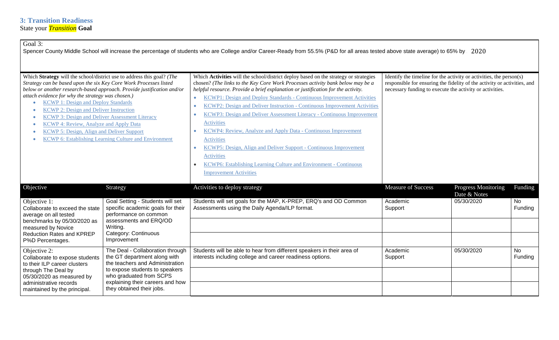| Goal 3:                                                                                                                                                                                                                                                                                                                                                                                                                                                                                                                                                                                                              |                                                                                                                                                                                                                                   | Spencer County Middle School will increase the percentage of students who are College and/or Career-Ready from 55.5% (P&D for all areas tested above state average) to 65% by: 2020                                                                                                                                                                                                                                                                                                                                                                                                                                                                                                                                                                                                                                                                         |                                                                                                                                                                                                             |                                            |                      |
|----------------------------------------------------------------------------------------------------------------------------------------------------------------------------------------------------------------------------------------------------------------------------------------------------------------------------------------------------------------------------------------------------------------------------------------------------------------------------------------------------------------------------------------------------------------------------------------------------------------------|-----------------------------------------------------------------------------------------------------------------------------------------------------------------------------------------------------------------------------------|-------------------------------------------------------------------------------------------------------------------------------------------------------------------------------------------------------------------------------------------------------------------------------------------------------------------------------------------------------------------------------------------------------------------------------------------------------------------------------------------------------------------------------------------------------------------------------------------------------------------------------------------------------------------------------------------------------------------------------------------------------------------------------------------------------------------------------------------------------------|-------------------------------------------------------------------------------------------------------------------------------------------------------------------------------------------------------------|--------------------------------------------|----------------------|
| Which Strategy will the school/district use to address this goal? (The<br>Strategy can be based upon the six Key Core Work Processes listed<br>below or another research-based approach. Provide justification and/or<br>attach evidence for why the strategy was chosen.)<br><b>KCWP 1: Design and Deploy Standards</b><br><b>KCWP 2: Design and Deliver Instruction</b><br><b>KCWP 3: Design and Deliver Assessment Literacy</b><br><b>KCWP 4: Review, Analyze and Apply Data</b><br><b>KCWP 5: Design, Align and Deliver Support</b><br><b>KCWP 6: Establishing Learning Culture and Environment</b><br>$\bullet$ |                                                                                                                                                                                                                                   | Which Activities will the school/district deploy based on the strategy or strategies<br>chosen? (The links to the Key Core Work Processes activity bank below may be a<br>helpful resource. Provide a brief explanation or justification for the activity.<br>KCWP1: Design and Deploy Standards - Continuous Improvement Activities<br>$\bullet$<br>KCWP2: Design and Deliver Instruction - Continuous Improvement Activities<br>$\bullet$<br>KCWP3: Design and Deliver Assessment Literacy - Continuous Improvement<br>$\bullet$<br>Activities<br>KCWP4: Review, Analyze and Apply Data - Continuous Improvement<br><b>Activities</b><br>KCWP5: Design, Align and Deliver Support - Continuous Improvement<br>$\bullet$<br><b>Activities</b><br><b>KCWP6: Establishing Learning Culture and Environment - Continuous</b><br><b>Improvement Activities</b> | Identify the timeline for the activity or activities, the person(s)<br>responsible for ensuring the fidelity of the activity or activities, and<br>necessary funding to execute the activity or activities. |                                            |                      |
| Objective                                                                                                                                                                                                                                                                                                                                                                                                                                                                                                                                                                                                            | Strategy                                                                                                                                                                                                                          | Activities to deploy strategy                                                                                                                                                                                                                                                                                                                                                                                                                                                                                                                                                                                                                                                                                                                                                                                                                               | <b>Measure of Success</b>                                                                                                                                                                                   | <b>Progress Monitoring</b><br>Date & Notes | Funding              |
| Objective 1:<br>Collaborate to exceed the state<br>average on all tested<br>benchmarks by 05/30/2020 as<br>measured by Novice<br><b>Reduction Rates and KPREP</b><br>P%D Percentages.                                                                                                                                                                                                                                                                                                                                                                                                                                | Goal Setting - Students will set<br>specific academic goals for their<br>performance on common<br>assessments and ERQ/OD<br>Writing.<br>Category: Continuous<br>Improvement                                                       | Students will set goals for the MAP, K-PREP, ERQ's and OD Common<br>Assessments using the Daily Agenda/ILP format.                                                                                                                                                                                                                                                                                                                                                                                                                                                                                                                                                                                                                                                                                                                                          | Academic<br>Support                                                                                                                                                                                         | 05/30/2020                                 | No<br>Funding        |
| Objective 2:<br>Collaborate to expose students<br>to their ILP career clusters<br>through The Deal by<br>05/30/2020 as measured by<br>administrative records<br>maintained by the principal.                                                                                                                                                                                                                                                                                                                                                                                                                         | The Deal - Collaboration through<br>the GT department along with<br>the teachers and Administration<br>to expose students to speakers<br>who graduated from SCPS<br>explaining their careers and how<br>they obtained their jobs. | Students will be able to hear from different speakers in their area of<br>interests including college and career readiness options.                                                                                                                                                                                                                                                                                                                                                                                                                                                                                                                                                                                                                                                                                                                         | Academic<br>Support                                                                                                                                                                                         | 05/30/2020                                 | <b>No</b><br>Funding |